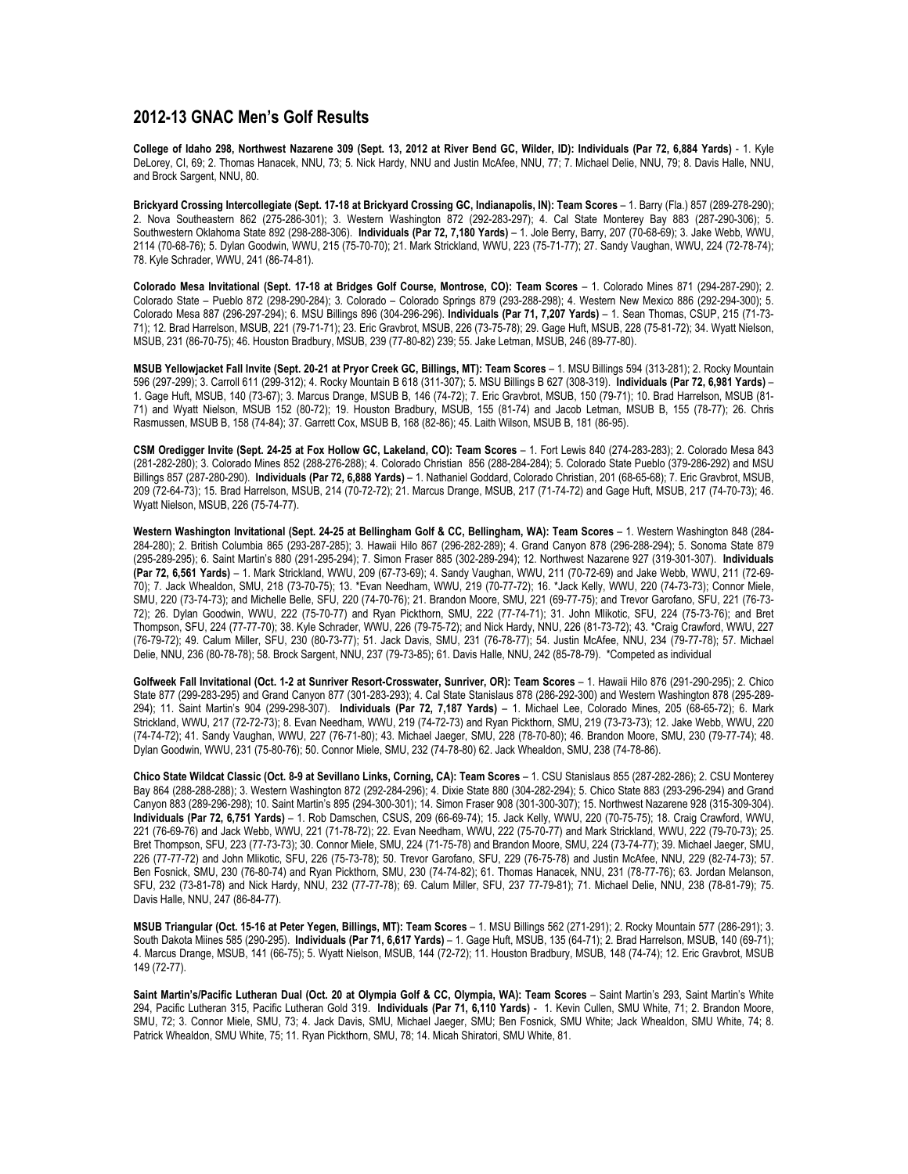## **2012-13 GNAC Men's Golf Results**

**College of Idaho 298, Northwest Nazarene 309 (Sept. 13, 2012 at River Bend GC, Wilder, ID): Individuals (Par 72, 6,884 Yards)** - 1. Kyle DeLorey, CI, 69; 2. Thomas Hanacek, NNU, 73; 5. Nick Hardy, NNU and Justin McAfee, NNU, 77; 7. Michael Delie, NNU, 79; 8. Davis Halle, NNU, and Brock Sargent, NNU, 80.

**Brickyard Crossing Intercollegiate (Sept. 17-18 at Brickyard Crossing GC, Indianapolis, IN): Team Scores** – 1. Barry (Fla.) 857 (289-278-290); 2. Nova Southeastern 862 (275-286-301); 3. Western Washington 872 (292-283-297); 4. Cal State Monterey Bay 883 (287-290-306); 5. Southwestern Oklahoma State 892 (298-288-306). **Individuals (Par 72, 7,180 Yards)** – 1. Jole Berry, Barry, 207 (70-68-69); 3. Jake Webb, WWU, 2114 (70-68-76); 5. Dylan Goodwin, WWU, 215 (75-70-70); 21. Mark Strickland, WWU, 223 (75-71-77); 27. Sandy Vaughan, WWU, 224 (72-78-74); 78. Kyle Schrader, WWU, 241 (86-74-81).

**Colorado Mesa Invitational (Sept. 17-18 at Bridges Golf Course, Montrose, CO): Team Scores** – 1. Colorado Mines 871 (294-287-290); 2. Colorado State – Pueblo 872 (298-290-284); 3. Colorado – Colorado Springs 879 (293-288-298); 4. Western New Mexico 886 (292-294-300); 5. Colorado Mesa 887 (296-297-294); 6. MSU Billings 896 (304-296-296). **Individuals (Par 71, 7,207 Yards)** – 1. Sean Thomas, CSUP, 215 (71-73- 71); 12. Brad Harrelson, MSUB, 221 (79-71-71); 23. Eric Gravbrot, MSUB, 226 (73-75-78); 29. Gage Huft, MSUB, 228 (75-81-72); 34. Wyatt Nielson, MSUB, 231 (86-70-75); 46. Houston Bradbury, MSUB, 239 (77-80-82) 239; 55. Jake Letman, MSUB, 246 (89-77-80).

**MSUB Yellowjacket Fall Invite (Sept. 20-21 at Pryor Creek GC, Billings, MT): Team Scores** – 1. MSU Billings 594 (313-281); 2. Rocky Mountain 596 (297-299); 3. Carroll 611 (299-312); 4. Rocky Mountain B 618 (311-307); 5. MSU Billings B 627 (308-319). **Individuals (Par 72, 6,981 Yards)** – 1. Gage Huft, MSUB, 140 (73-67); 3. Marcus Drange, MSUB B, 146 (74-72); 7. Eric Gravbrot, MSUB, 150 (79-71); 10. Brad Harrelson, MSUB (81- 71) and Wyatt Nielson, MSUB 152 (80-72); 19. Houston Bradbury, MSUB, 155 (81-74) and Jacob Letman, MSUB B, 155 (78-77); 26. Chris Rasmussen, MSUB B, 158 (74-84); 37. Garrett Cox, MSUB B, 168 (82-86); 45. Laith Wilson, MSUB B, 181 (86-95).

**CSM Oredigger Invite (Sept. 24-25 at Fox Hollow GC, Lakeland, CO): Team Scores** – 1. Fort Lewis 840 (274-283-283); 2. Colorado Mesa 843 (281-282-280); 3. Colorado Mines 852 (288-276-288); 4. Colorado Christian 856 (288-284-284); 5. Colorado State Pueblo (379-286-292) and MSU Billings 857 (287-280-290). **Individuals (Par 72, 6,888 Yards)** – 1. Nathaniel Goddard, Colorado Christian, 201 (68-65-68); 7. Eric Gravbrot, MSUB, 209 (72-64-73); 15. Brad Harrelson, MSUB, 214 (70-72-72); 21. Marcus Drange, MSUB, 217 (71-74-72) and Gage Huft, MSUB, 217 (74-70-73); 46. Wyatt Nielson, MSUB, 226 (75-74-77).

**Western Washington Invitational (Sept. 24-25 at Bellingham Golf & CC, Bellingham, WA): Team Scores** – 1. Western Washington 848 (284- 284-280); 2. British Columbia 865 (293-287-285); 3. Hawaii Hilo 867 (296-282-289); 4. Grand Canyon 878 (296-288-294); 5. Sonoma State 879 (295-289-295); 6. Saint Martin's 880 (291-295-294); 7. Simon Fraser 885 (302-289-294); 12. Northwest Nazarene 927 (319-301-307). **Individuals (Par 72, 6,561 Yards)** – 1. Mark Strickland, WWU, 209 (67-73-69); 4. Sandy Vaughan, WWU, 211 (70-72-69) and Jake Webb, WWU, 211 (72-69- 70); 7. Jack Whealdon, SMU, 218 (73-70-75); 13. \*Evan Needham, WWU, 219 (70-77-72); 16. \*Jack Kelly, WWU, 220 (74-73-73); Connor Miele, SMU, 220 (73-74-73); and Michelle Belle, SFU, 220 (74-70-76); 21. Brandon Moore, SMU, 221 (69-77-75); and Trevor Garofano, SFU, 221 (76-73- 72); 26. Dylan Goodwin, WWU, 222 (75-70-77) and Ryan Pickthorn, SMU, 222 (77-74-71); 31. John Mlikotic, SFU, 224 (75-73-76); and Bret Thompson, SFU, 224 (77-77-70); 38. Kyle Schrader, WWU, 226 (79-75-72); and Nick Hardy, NNU, 226 (81-73-72); 43. \*Craig Crawford, WWU, 227 (76-79-72); 49. Calum Miller, SFU, 230 (80-73-77); 51. Jack Davis, SMU, 231 (76-78-77); 54. Justin McAfee, NNU, 234 (79-77-78); 57. Michael Delie, NNU, 236 (80-78-78); 58. Brock Sargent, NNU, 237 (79-73-85); 61. Davis Halle, NNU, 242 (85-78-79). \*Competed as individual

**Golfweek Fall Invitational (Oct. 1-2 at Sunriver Resort-Crosswater, Sunriver, OR): Team Scores** – 1. Hawaii Hilo 876 (291-290-295); 2. Chico State 877 (299-283-295) and Grand Canyon 877 (301-283-293); 4. Cal State Stanislaus 878 (286-292-300) and Western Washington 878 (295-289- 294); 11. Saint Martin's 904 (299-298-307). **Individuals (Par 72, 7,187 Yards)** – 1. Michael Lee, Colorado Mines, 205 (68-65-72); 6. Mark Strickland, WWU, 217 (72-72-73); 8. Evan Needham, WWU, 219 (74-72-73) and Ryan Pickthorn, SMU, 219 (73-73-73); 12. Jake Webb, WWU, 220 (74-74-72); 41. Sandy Vaughan, WWU, 227 (76-71-80); 43. Michael Jaeger, SMU, 228 (78-70-80); 46. Brandon Moore, SMU, 230 (79-77-74); 48. Dylan Goodwin, WWU, 231 (75-80-76); 50. Connor Miele, SMU, 232 (74-78-80) 62. Jack Whealdon, SMU, 238 (74-78-86).

**Chico State Wildcat Classic (Oct. 8-9 at Sevillano Links, Corning, CA): Team Scores** – 1. CSU Stanislaus 855 (287-282-286); 2. CSU Monterey Bay 864 (288-288-288); 3. Western Washington 872 (292-284-296); 4. Dixie State 880 (304-282-294); 5. Chico State 883 (293-296-294) and Grand Canyon 883 (289-296-298); 10. Saint Martin's 895 (294-300-301); 14. Simon Fraser 908 (301-300-307); 15. Northwest Nazarene 928 (315-309-304). **Individuals (Par 72, 6,751 Yards)** – 1. Rob Damschen, CSUS, 209 (66-69-74); 15. Jack Kelly, WWU, 220 (70-75-75); 18. Craig Crawford, WWU, 221 (76-69-76) and Jack Webb, WWU, 221 (71-78-72); 22. Evan Needham, WWU, 222 (75-70-77) and Mark Strickland, WWU, 222 (79-70-73); 25. Bret Thompson, SFU, 223 (77-73-73); 30. Connor Miele, SMU, 224 (71-75-78) and Brandon Moore, SMU, 224 (73-74-77); 39. Michael Jaeger, SMU, 226 (77-77-72) and John Mlikotic, SFU, 226 (75-73-78); 50. Trevor Garofano, SFU, 229 (76-75-78) and Justin McAfee, NNU, 229 (82-74-73); 57. Ben Fosnick, SMU, 230 (76-80-74) and Ryan Pickthorn, SMU, 230 (74-74-82); 61. Thomas Hanacek, NNU, 231 (78-77-76); 63. Jordan Melanson, SFU, 232 (73-81-78) and Nick Hardy, NNU, 232 (77-77-78); 69. Calum Miller, SFU, 237 77-79-81); 71. Michael Delie, NNU, 238 (78-81-79); 75. Davis Halle, NNU, 247 (86-84-77).

**MSUB Triangular (Oct. 15-16 at Peter Yegen, Billings, MT): Team Scores** – 1. MSU Billings 562 (271-291); 2. Rocky Mountain 577 (286-291); 3. South Dakota Miines 585 (290-295). **Individuals (Par 71, 6,617 Yards)** – 1. Gage Huft, MSUB, 135 (64-71); 2. Brad Harrelson, MSUB, 140 (69-71); 4. Marcus Drange, MSUB, 141 (66-75); 5. Wyatt Nielson, MSUB, 144 (72-72); 11. Houston Bradbury, MSUB, 148 (74-74); 12. Eric Gravbrot, MSUB 149 (72-77).

**Saint Martin's/Pacific Lutheran Dual (Oct. 20 at Olympia Golf & CC, Olympia, WA): Team Scores** – Saint Martin's 293, Saint Martin's White 294, Pacific Lutheran 315, Pacific Lutheran Gold 319. **Individuals (Par 71, 6,110 Yards)** - 1. Kevin Cullen, SMU White, 71; 2. Brandon Moore, SMU, 72; 3. Connor Miele, SMU, 73; 4. Jack Davis, SMU, Michael Jaeger, SMU; Ben Fosnick, SMU White; Jack Whealdon, SMU White, 74; 8. Patrick Whealdon, SMU White, 75; 11. Ryan Pickthorn, SMU, 78; 14. Micah Shiratori, SMU White, 81.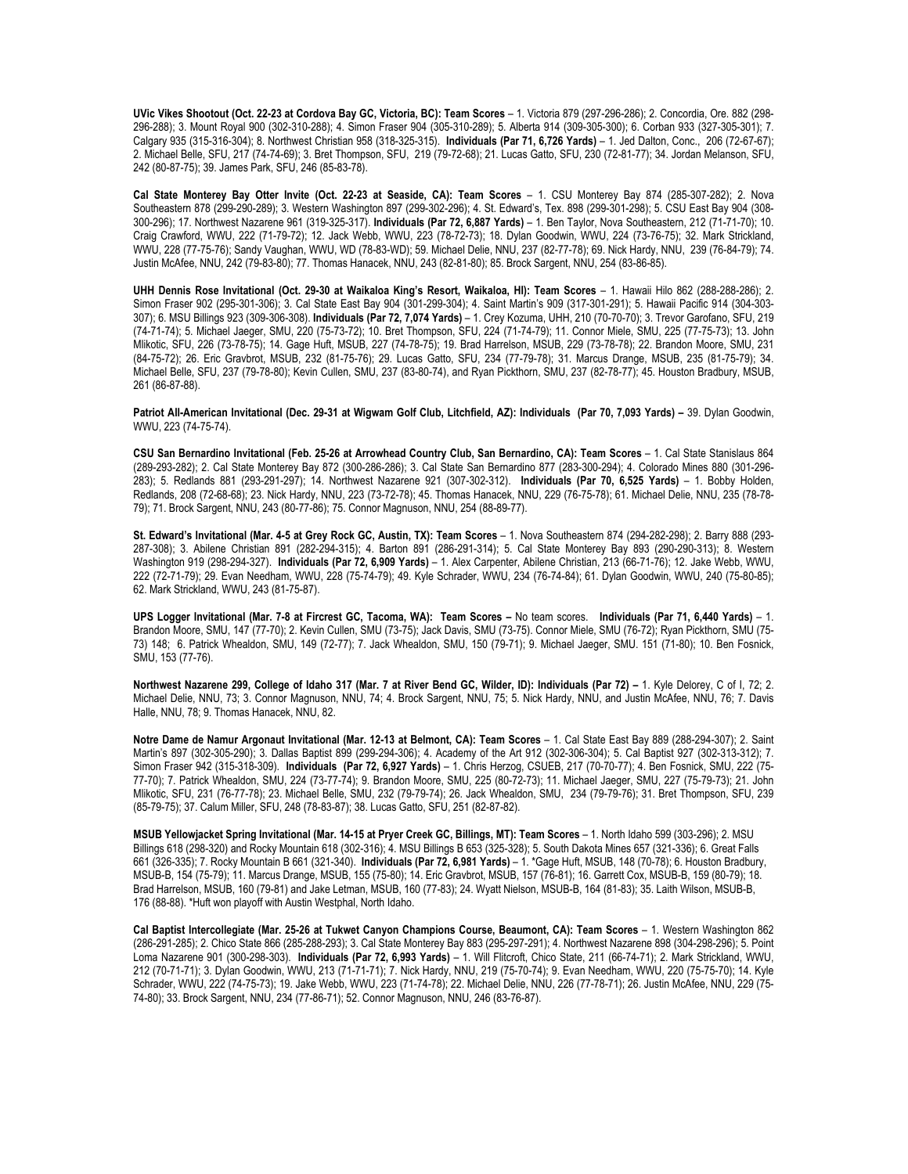**UVic Vikes Shootout (Oct. 22-23 at Cordova Bay GC, Victoria, BC): Team Scores** – 1. Victoria 879 (297-296-286); 2. Concordia, Ore. 882 (298- 296-288); 3. Mount Royal 900 (302-310-288); 4. Simon Fraser 904 (305-310-289); 5. Alberta 914 (309-305-300); 6. Corban 933 (327-305-301); 7. Calgary 935 (315-316-304); 8. Northwest Christian 958 (318-325-315). **Individuals (Par 71, 6,726 Yards)** – 1. Jed Dalton, Conc., 206 (72-67-67); 2. Michael Belle, SFU, 217 (74-74-69); 3. Bret Thompson, SFU, 219 (79-72-68); 21. Lucas Gatto, SFU, 230 (72-81-77); 34. Jordan Melanson, SFU, 242 (80-87-75); 39. James Park, SFU, 246 (85-83-78).

**Cal State Monterey Bay Otter Invite (Oct. 22-23 at Seaside, CA): Team Scores** – 1. CSU Monterey Bay 874 (285-307-282); 2. Nova Southeastern 878 (299-290-289); 3. Western Washington 897 (299-302-296); 4. St. Edward's, Tex. 898 (299-301-298); 5. CSU East Bay 904 (308- 300-296); 17. Northwest Nazarene 961 (319-325-317). **Individuals (Par 72, 6,887 Yards)** – 1. Ben Taylor, Nova Southeastern, 212 (71-71-70); 10. Craig Crawford, WWU, 222 (71-79-72); 12. Jack Webb, WWU, 223 (78-72-73); 18. Dylan Goodwin, WWU, 224 (73-76-75); 32. Mark Strickland, WWU, 228 (77-75-76); Sandy Vaughan, WWU, WD (78-83-WD); 59. Michael Delie, NNU, 237 (82-77-78); 69. Nick Hardy, NNU, 239 (76-84-79); 74. Justin McAfee, NNU, 242 (79-83-80); 77. Thomas Hanacek, NNU, 243 (82-81-80); 85. Brock Sargent, NNU, 254 (83-86-85).

**UHH Dennis Rose Invitational (Oct. 29-30 at Waikaloa King's Resort, Waikaloa, HI): Team Scores** – 1. Hawaii Hilo 862 (288-288-286); 2. Simon Fraser 902 (295-301-306); 3. Cal State East Bay 904 (301-299-304); 4. Saint Martin's 909 (317-301-291); 5. Hawaii Pacific 914 (304-303- 307); 6. MSU Billings 923 (309-306-308). **Individuals (Par 72, 7,074 Yards)** – 1. Crey Kozuma, UHH, 210 (70-70-70); 3. Trevor Garofano, SFU, 219 (74-71-74); 5. Michael Jaeger, SMU, 220 (75-73-72); 10. Bret Thompson, SFU, 224 (71-74-79); 11. Connor Miele, SMU, 225 (77-75-73); 13. John Mlikotic, SFU, 226 (73-78-75); 14. Gage Huft, MSUB, 227 (74-78-75); 19. Brad Harrelson, MSUB, 229 (73-78-78); 22. Brandon Moore, SMU, 231 (84-75-72); 26. Eric Gravbrot, MSUB, 232 (81-75-76); 29. Lucas Gatto, SFU, 234 (77-79-78); 31. Marcus Drange, MSUB, 235 (81-75-79); 34. Michael Belle, SFU, 237 (79-78-80); Kevin Cullen, SMU, 237 (83-80-74), and Ryan Pickthorn, SMU, 237 (82-78-77); 45. Houston Bradbury, MSUB, 261 (86-87-88).

Patriot All-American Invitational (Dec. 29-31 at Wigwam Golf Club, Litchfield, AZ): Individuals (Par 70, 7,093 Yards) - 39. Dylan Goodwin, WWU, 223 (74-75-74).

CSU San Bernardino Invitational (Feb. 25-26 at Arrowhead Country Club, San Bernardino, CA): Team Scores - 1. Cal State Stanislaus 864 (289-293-282); 2. Cal State Monterey Bay 872 (300-286-286); 3. Cal State San Bernardino 877 (283-300-294); 4. Colorado Mines 880 (301-296- 283); 5. Redlands 881 (293-291-297); 14. Northwest Nazarene 921 (307-302-312). **Individuals (Par 70, 6,525 Yards)** – 1. Bobby Holden, Redlands, 208 (72-68-68); 23. Nick Hardy, NNU, 223 (73-72-78); 45. Thomas Hanacek, NNU, 229 (76-75-78); 61. Michael Delie, NNU, 235 (78-78- 79); 71. Brock Sargent, NNU, 243 (80-77-86); 75. Connor Magnuson, NNU, 254 (88-89-77).

**St. Edward's Invitational (Mar. 4-5 at Grey Rock GC, Austin, TX): Team Scores** – 1. Nova Southeastern 874 (294-282-298); 2. Barry 888 (293- 287-308); 3. Abilene Christian 891 (282-294-315); 4. Barton 891 (286-291-314); 5. Cal State Monterey Bay 893 (290-290-313); 8. Western Washington 919 (298-294-327). **Individuals (Par 72, 6,909 Yards)** – 1. Alex Carpenter, Abilene Christian, 213 (66-71-76); 12. Jake Webb, WWU, 222 (72-71-79); 29. Evan Needham, WWU, 228 (75-74-79); 49. Kyle Schrader, WWU, 234 (76-74-84); 61. Dylan Goodwin, WWU, 240 (75-80-85); 62. Mark Strickland, WWU, 243 (81-75-87).

**UPS Logger Invitational (Mar. 7-8 at Fircrest GC, Tacoma, WA): Team Scores –** No team scores. **Individuals (Par 71, 6,440 Yards)** – 1. Brandon Moore, SMU, 147 (77-70); 2. Kevin Cullen, SMU (73-75); Jack Davis, SMU (73-75). Connor Miele, SMU (76-72); Ryan Pickthorn, SMU (75- 73) 148; 6. Patrick Whealdon, SMU, 149 (72-77); 7. Jack Whealdon, SMU, 150 (79-71); 9. Michael Jaeger, SMU. 151 (71-80); 10. Ben Fosnick, SMU, 153 (77-76).

Northwest Nazarene 299, College of Idaho 317 (Mar. 7 at River Bend GC, Wilder, ID): Individuals (Par 72) – 1. Kyle Delorey, C of I, 72; 2. Michael Delie, NNU, 73; 3. Connor Magnuson, NNU, 74; 4. Brock Sargent, NNU, 75; 5. Nick Hardy, NNU, and Justin McAfee, NNU, 76; 7. Davis Halle, NNU, 78; 9. Thomas Hanacek, NNU, 82.

**Notre Dame de Namur Argonaut Invitational (Mar. 12-13 at Belmont, CA): Team Scores** – 1. Cal State East Bay 889 (288-294-307); 2. Saint Martin's 897 (302-305-290); 3. Dallas Baptist 899 (299-294-306); 4. Academy of the Art 912 (302-306-304); 5. Cal Baptist 927 (302-313-312); 7. Simon Fraser 942 (315-318-309). **Individuals (Par 72, 6,927 Yards)** – 1. Chris Herzog, CSUEB, 217 (70-70-77); 4. Ben Fosnick, SMU, 222 (75- 77-70); 7. Patrick Whealdon, SMU, 224 (73-77-74); 9. Brandon Moore, SMU, 225 (80-72-73); 11. Michael Jaeger, SMU, 227 (75-79-73); 21. John Mlikotic, SFU, 231 (76-77-78); 23. Michael Belle, SMU, 232 (79-79-74); 26. Jack Whealdon, SMU, 234 (79-79-76); 31. Bret Thompson, SFU, 239 (85-79-75); 37. Calum Miller, SFU, 248 (78-83-87); 38. Lucas Gatto, SFU, 251 (82-87-82).

**MSUB Yellowjacket Spring Invitational (Mar. 14-15 at Pryer Creek GC, Billings, MT): Team Scores** – 1. North Idaho 599 (303-296); 2. MSU Billings 618 (298-320) and Rocky Mountain 618 (302-316); 4. MSU Billings B 653 (325-328); 5. South Dakota Mines 657 (321-336); 6. Great Falls 661 (326-335); 7. Rocky Mountain B 661 (321-340). **Individuals (Par 72, 6,981 Yards)** – 1. \*Gage Huft, MSUB, 148 (70-78); 6. Houston Bradbury, MSUB-B, 154 (75-79); 11. Marcus Drange, MSUB, 155 (75-80); 14. Eric Gravbrot, MSUB, 157 (76-81); 16. Garrett Cox, MSUB-B, 159 (80-79); 18. Brad Harrelson, MSUB, 160 (79-81) and Jake Letman, MSUB, 160 (77-83); 24. Wyatt Nielson, MSUB-B, 164 (81-83); 35. Laith Wilson, MSUB-B, 176 (88-88). \*Huft won playoff with Austin Westphal, North Idaho.

**Cal Baptist Intercollegiate (Mar. 25-26 at Tukwet Canyon Champions Course, Beaumont, CA): Team Scores** – 1. Western Washington 862 (286-291-285); 2. Chico State 866 (285-288-293); 3. Cal State Monterey Bay 883 (295-297-291); 4. Northwest Nazarene 898 (304-298-296); 5. Point Loma Nazarene 901 (300-298-303). **Individuals (Par 72, 6,993 Yards)** – 1. Will Flitcroft, Chico State, 211 (66-74-71); 2. Mark Strickland, WWU, 212 (70-71-71); 3. Dylan Goodwin, WWU, 213 (71-71-71); 7. Nick Hardy, NNU, 219 (75-70-74); 9. Evan Needham, WWU, 220 (75-75-70); 14. Kyle Schrader, WWU, 222 (74-75-73); 19. Jake Webb, WWU, 223 (71-74-78); 22. Michael Delie, NNU, 226 (77-78-71); 26. Justin McAfee, NNU, 229 (75- 74-80); 33. Brock Sargent, NNU, 234 (77-86-71); 52. Connor Magnuson, NNU, 246 (83-76-87).